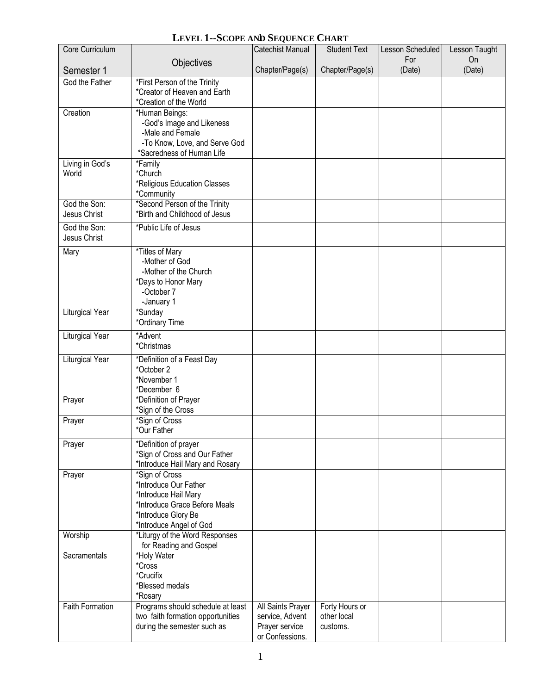## **LEVEL 1--SCOPE AND SEQUENCE CHART**

| Core Curriculum        |                                                                  | <b>Catechist Manual</b>           | <b>Student Text</b>     | Lesson Scheduled | Lesson Taught |
|------------------------|------------------------------------------------------------------|-----------------------------------|-------------------------|------------------|---------------|
| Semester 1             | Objectives                                                       | Chapter/Page(s)                   | Chapter/Page(s)         | For<br>(Date)    | On<br>(Date)  |
| God the Father         | *First Person of the Trinity                                     |                                   |                         |                  |               |
|                        | *Creator of Heaven and Earth                                     |                                   |                         |                  |               |
| Creation               | *Creation of the World<br>*Human Beings:                         |                                   |                         |                  |               |
|                        | -God's Image and Likeness                                        |                                   |                         |                  |               |
|                        | -Male and Female                                                 |                                   |                         |                  |               |
|                        | -To Know, Love, and Serve God<br>*Sacredness of Human Life       |                                   |                         |                  |               |
| Living in God's        | *Family                                                          |                                   |                         |                  |               |
| World                  | *Church                                                          |                                   |                         |                  |               |
|                        | *Religious Education Classes                                     |                                   |                         |                  |               |
| God the Son:           | *Community<br>*Second Person of the Trinity                      |                                   |                         |                  |               |
| Jesus Christ           | *Birth and Childhood of Jesus                                    |                                   |                         |                  |               |
| God the Son:           | *Public Life of Jesus                                            |                                   |                         |                  |               |
| Jesus Christ           |                                                                  |                                   |                         |                  |               |
| Mary                   | *Titles of Mary<br>-Mother of God                                |                                   |                         |                  |               |
|                        | -Mother of the Church                                            |                                   |                         |                  |               |
|                        | *Days to Honor Mary                                              |                                   |                         |                  |               |
|                        | -October 7                                                       |                                   |                         |                  |               |
| <b>Liturgical Year</b> | -January 1<br>*Sunday                                            |                                   |                         |                  |               |
|                        | *Ordinary Time                                                   |                                   |                         |                  |               |
| <b>Liturgical Year</b> | *Advent                                                          |                                   |                         |                  |               |
|                        | *Christmas                                                       |                                   |                         |                  |               |
| <b>Liturgical Year</b> | *Definition of a Feast Day<br>*October 2                         |                                   |                         |                  |               |
|                        | *November 1                                                      |                                   |                         |                  |               |
|                        | *December 6                                                      |                                   |                         |                  |               |
| Prayer                 | *Definition of Prayer<br>*Sign of the Cross                      |                                   |                         |                  |               |
| Prayer                 | *Sign of Cross                                                   |                                   |                         |                  |               |
|                        | *Our Father                                                      |                                   |                         |                  |               |
| Prayer                 | *Definition of prayer                                            |                                   |                         |                  |               |
|                        | *Sign of Cross and Our Father<br>*Introduce Hail Mary and Rosary |                                   |                         |                  |               |
| Prayer                 | *Sign of Cross                                                   |                                   |                         |                  |               |
|                        | *Introduce Our Father                                            |                                   |                         |                  |               |
|                        | *Introduce Hail Mary<br>*Introduce Grace Before Meals            |                                   |                         |                  |               |
|                        | *Introduce Glory Be                                              |                                   |                         |                  |               |
|                        | *Introduce Angel of God                                          |                                   |                         |                  |               |
| Worship                | *Liturgy of the Word Responses<br>for Reading and Gospel         |                                   |                         |                  |               |
| Sacramentals           | *Holy Water                                                      |                                   |                         |                  |               |
|                        | *Cross                                                           |                                   |                         |                  |               |
|                        | *Crucifix<br>*Blessed medals                                     |                                   |                         |                  |               |
|                        | *Rosary                                                          |                                   |                         |                  |               |
| <b>Faith Formation</b> | Programs should schedule at least                                | All Saints Prayer                 | Forty Hours or          |                  |               |
|                        | two faith formation opportunities<br>during the semester such as | service, Advent<br>Prayer service | other local<br>customs. |                  |               |
|                        |                                                                  | or Confessions.                   |                         |                  |               |